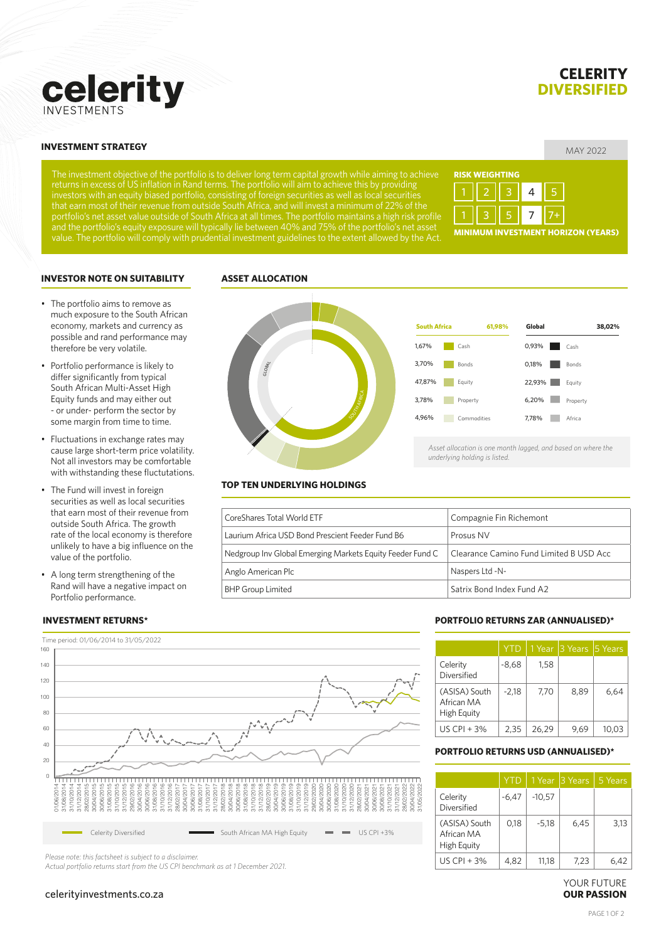# MAY 2022 **INVESTMENT STRATEGY**

celerity

The investment objective of the portfolio is to deliver long term capital growth while aiming to achieve returns in excess of US inflation in Rand terms. The portfolio will aim to achieve this by providing investors with an equity biased portfolio, consisting of foreign securities as well as local securities that earn most of their revenue from outside South Africa, and will invest a minimum of 22% of the portfolio's net asset value outside of South Africa at all times. The portfolio maintains a high risk profile and the portfolio's equity exposure will typically lie between 40% and 75% of the portfolio's net asset value. The portfolio will comply with prudential investment guidelines to the extent allowed by the Act.

**ASSET ALLOCATION**



#### **INVESTOR NOTE ON SUITABILITY**

- The portfolio aims to remove as much exposure to the South African economy, markets and currency as possible and rand performance may therefore be very volatile.
- Portfolio performance is likely to differ significantly from typical South African Multi-Asset High Equity funds and may either out - or under- perform the sector by some margin from time to time.
- Fluctuations in exchange rates may cause large short-term price volatility. Not all investors may be comfortable with withstanding these fluctutations.
- The Fund will invest in foreign securities as well as local securities that earn most of their revenue from outside South Africa. The growth rate of the local economy is therefore unlikely to have a big influence on the value of the portfolio.
- A long term strengthening of the Rand will have a negative impact on Portfolio performance.

#### **INVESTMENT RETURNS\***





*underlying holding is listed.*

#### **TOP TEN UNDERLYING HOLDINGS**

| CoreShares Total World ETF                                | Compagnie Fin Richemont                 |
|-----------------------------------------------------------|-----------------------------------------|
| Laurium Africa USD Bond Prescient Feeder Fund B6          | Prosus NV                               |
| Nedgroup Inv Global Emerging Markets Equity Feeder Fund C | Clearance Camino Fund Limited B USD Acc |
| Anglo American Plc                                        | Naspers Ltd -N-                         |
| <b>BHP Group Limited</b>                                  | Satrix Bond Index Fund A2               |



*Please note: this factsheet is subject to a disclaimer.*

*Actual portfolio returns start from the US CPI benchmark as at 1 December 2021.*

# celerityinvestments.co.za

# **PORTFOLIO RETURNS ZAR (ANNUALISED)\***

|                                            | <b>YTD</b> |       | 1 Year 3 Years 5 Years |      |
|--------------------------------------------|------------|-------|------------------------|------|
| Celerity<br>Diversified                    | $-8,68$    | 1,58  |                        |      |
| (ASISA) South<br>African MA<br>High Equity | $-2,18$    | 7,70  | 8.89                   | 6,64 |
| US CPI + $3\%$                             | 2,35       | 26,29 | 9.69                   | 10.0 |

# **PORTFOLIO RETURNS USD (ANNUALISED)\***

|                                            | <b>YTD</b> |          | 1 Year 13 Years | 5 Years |
|--------------------------------------------|------------|----------|-----------------|---------|
| Celerity<br>Diversified                    | $-6,47$    | $-10,57$ |                 |         |
| (ASISA) South<br>African MA<br>High Equity | 0,18       | $-5,18$  | 6,45            | 3,13    |
| US CPI + $3\%$                             | 4,82       | 11.18    | 7,23            |         |

### YOUR FUTURE **OUR PASSION**